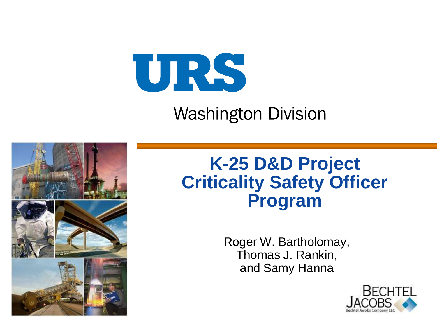

#### **Washington Division**



#### **K-25 D&D Project Criticality Safety Officer Program**

Roger W. Bartholomay, Thomas J. Rankin, and Samy Hanna

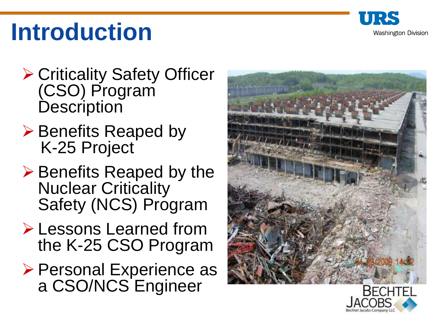

# **Introduction**

- **≻ Criticality Safety Officer** (CSO) Program **Description**
- $\triangleright$  Benefits Reaped by K-25 Project
- $\triangleright$  Benefits Reaped by the Nuclear Criticality Safety (NCS) Program
- Lessons Learned from the K-25 CSO Program
- ▶ Personal Experience as a CSO/NCS Engineer



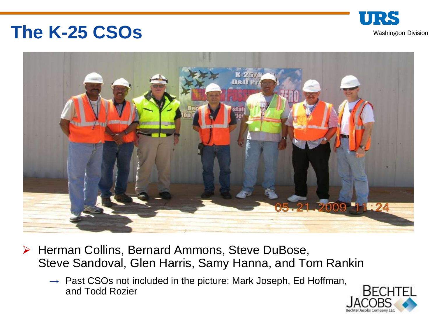#### **The K-25 CSOs**





- ▶ Herman Collins, Bernard Ammons, Steve DuBose, Steve Sandoval, Glen Harris, Samy Hanna, and Tom Rankin
	- $\rightarrow$  Past CSOs not included in the picture: Mark Joseph, Ed Hoffman, and Todd Rozier

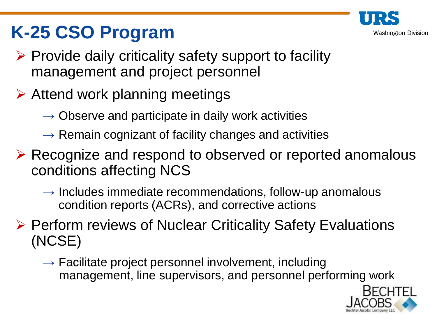

# **K-25 CSO Program**

- $\triangleright$  Provide daily criticality safety support to facility management and project personnel
- $\triangleright$  Attend work planning meetings
	- $\rightarrow$  Observe and participate in daily work activities
	- $\rightarrow$  Remain cognizant of facility changes and activities
- ▶ Recognize and respond to observed or reported anomalous conditions affecting NCS
	- $\rightarrow$  Includes immediate recommendations, follow-up anomalous condition reports (ACRs), and corrective actions

▶ Perform reviews of Nuclear Criticality Safety Evaluations (NCSE)

 $\rightarrow$  Facilitate project personnel involvement, including management, line supervisors, and personnel performing work

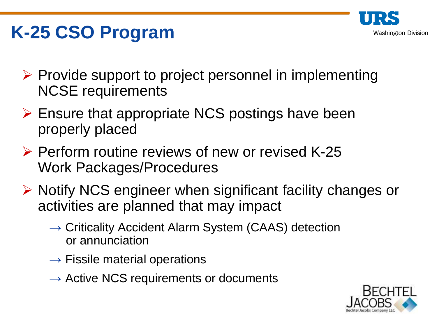

# **K-25 CSO Program**

- $\triangleright$  Provide support to project personnel in implementing NCSE requirements
- $\triangleright$  Ensure that appropriate NCS postings have been properly placed
- ▶ Perform routine reviews of new or revised K-25 Work Packages/Procedures
- $\triangleright$  Notify NCS engineer when significant facility changes or activities are planned that may impact
	- $\rightarrow$  Criticality Accident Alarm System (CAAS) detection or annunciation
	- $\rightarrow$  Fissile material operations
	- $\rightarrow$  Active NCS requirements or documents

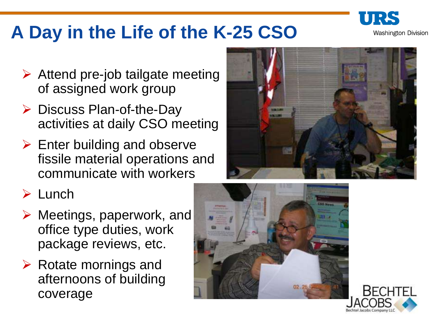

# **A Day in the Life of the K-25 CSO**

- $\triangleright$  Attend pre-job tailgate meeting of assigned work group
- $\triangleright$  Discuss Plan-of-the-Day activities at daily CSO meeting
- $\triangleright$  Enter building and observe fissile material operations and communicate with workers



#### $\triangleright$  Lunch

- $\triangleright$  Meetings, paperwork, and office type duties, work package reviews, etc.
- $\triangleright$  Rotate mornings and afternoons of building coverage



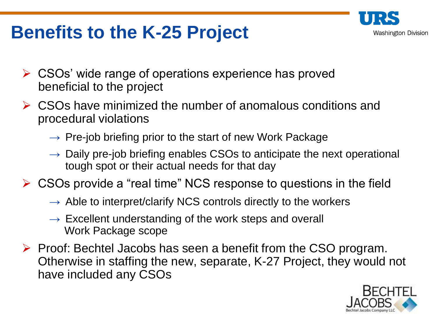

#### **Benefits to the K-25 Project**

- CSOs' wide range of operations experience has proved beneficial to the project
- **► CSOs have minimized the number of anomalous conditions and** procedural violations
	- $\rightarrow$  Pre-job briefing prior to the start of new Work Package
	- $\rightarrow$  Daily pre-job briefing enables CSOs to anticipate the next operational tough spot or their actual needs for that day
- $\triangleright$  CSOs provide a "real time" NCS response to questions in the field
	- $\rightarrow$  Able to interpret/clarify NCS controls directly to the workers
	- $\rightarrow$  Excellent understanding of the work steps and overall Work Package scope
- $\triangleright$  Proof: Bechtel Jacobs has seen a benefit from the CSO program. Otherwise in staffing the new, separate, K-27 Project, they would not have included any CSOs

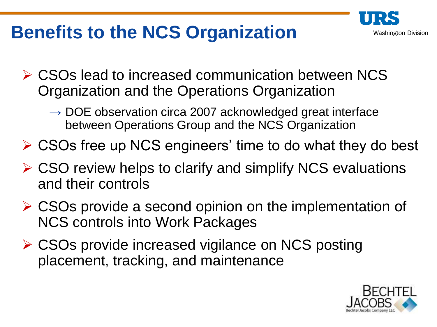# **Benefits to the NCS Organization**



- **► CSOs lead to increased communication between NCS** Organization and the Operations Organization
	- $\rightarrow$  DOE observation circa 2007 acknowledged great interface between Operations Group and the NCS Organization
- CSOs free up NCS engineers' time to do what they do best
- **► CSO review helps to clarify and simplify NCS evaluations** and their controls
- $\triangleright$  CSOs provide a second opinion on the implementation of NCS controls into Work Packages
- **► CSOs provide increased vigilance on NCS posting** placement, tracking, and maintenance

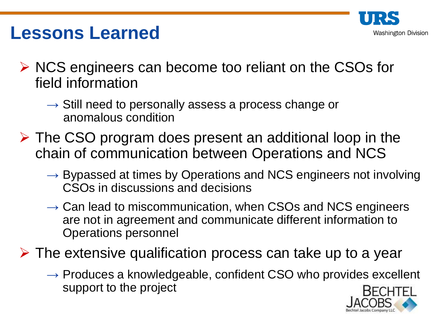

#### **Lessons Learned**

- $\triangleright$  NCS engineers can become too reliant on the CSOs for field information
	- $\rightarrow$  Still need to personally assess a process change or anomalous condition
- $\triangleright$  The CSO program does present an additional loop in the chain of communication between Operations and NCS
	- $\rightarrow$  Bypassed at times by Operations and NCS engineers not involving CSOs in discussions and decisions
	- $\rightarrow$  Can lead to miscommunication, when CSOs and NCS engineers are not in agreement and communicate different information to Operations personnel

 $\triangleright$  The extensive qualification process can take up to a year

 $\rightarrow$  Produces a knowledgeable, confident CSO who provides excellent support to the project

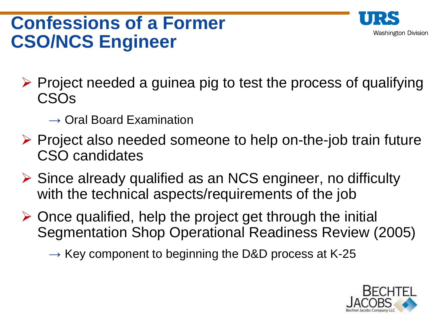#### **Confessions of a Former CSO/NCS Engineer**



- $\triangleright$  Project needed a guinea pig to test the process of qualifying CSOs
	- $\rightarrow$  Oral Board Examination
- $\triangleright$  Project also needed someone to help on-the-job train future CSO candidates
- $\triangleright$  Since already qualified as an NCS engineer, no difficulty with the technical aspects/requirements of the job
- $\triangleright$  Once qualified, help the project get through the initial Segmentation Shop Operational Readiness Review (2005)

 $\rightarrow$  Key component to beginning the D&D process at K-25

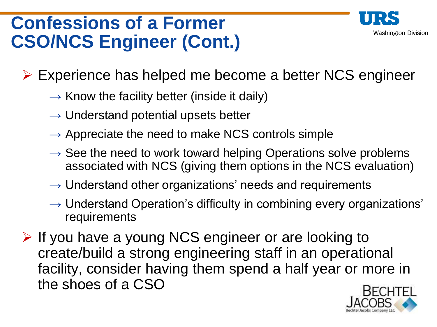# Washington Division

### **Confessions of a Former CSO/NCS Engineer (Cont.)**

Experience has helped me become a better NCS engineer

- $\rightarrow$  Know the facility better (inside it daily)
- $\rightarrow$  Understand potential upsets better
- $\rightarrow$  Appreciate the need to make NCS controls simple
- $\rightarrow$  See the need to work toward helping Operations solve problems associated with NCS (giving them options in the NCS evaluation)
- $\rightarrow$  Understand other organizations' needs and requirements
- $\rightarrow$  Understand Operation's difficulty in combining every organizations' requirements

 $\triangleright$  If you have a young NCS engineer or are looking to create/build a strong engineering staff in an operational facility, consider having them spend a half year or more in the shoes of a CSO

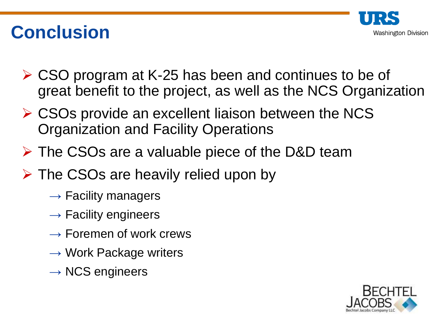

### **Conclusion**

- CSO program at K-25 has been and continues to be of great benefit to the project, as well as the NCS Organization
- **► CSOs provide an excellent liaison between the NCS** Organization and Facility Operations
- $\triangleright$  The CSOs are a valuable piece of the D&D team
- $\triangleright$  The CSOs are heavily relied upon by
	- $\rightarrow$  Facility managers
	- $\rightarrow$  Facility engineers
	- $\rightarrow$  Foremen of work crews
	- $\rightarrow$  Work Package writers
	- $\rightarrow$  NCS engineers